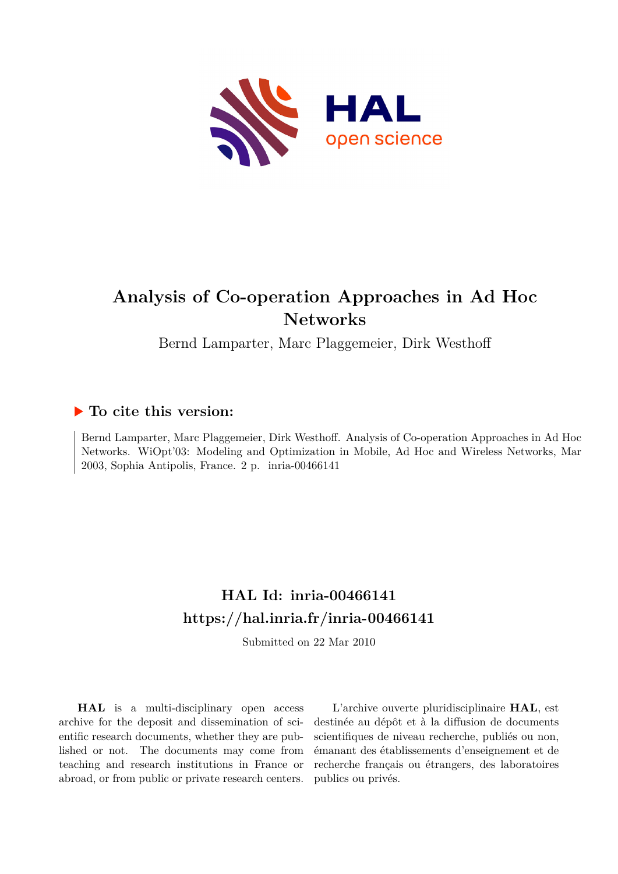

# **Analysis of Co-operation Approaches in Ad Hoc Networks**

Bernd Lamparter, Marc Plaggemeier, Dirk Westhoff

# **To cite this version:**

Bernd Lamparter, Marc Plaggemeier, Dirk Westhoff. Analysis of Co-operation Approaches in Ad Hoc Networks. WiOpt'03: Modeling and Optimization in Mobile, Ad Hoc and Wireless Networks, Mar 2003, Sophia Antipolis, France. 2 p. inria-00466141

# **HAL Id: inria-00466141 <https://hal.inria.fr/inria-00466141>**

Submitted on 22 Mar 2010

**HAL** is a multi-disciplinary open access archive for the deposit and dissemination of scientific research documents, whether they are published or not. The documents may come from teaching and research institutions in France or abroad, or from public or private research centers.

L'archive ouverte pluridisciplinaire **HAL**, est destinée au dépôt et à la diffusion de documents scientifiques de niveau recherche, publiés ou non, émanant des établissements d'enseignement et de recherche français ou étrangers, des laboratoires publics ou privés.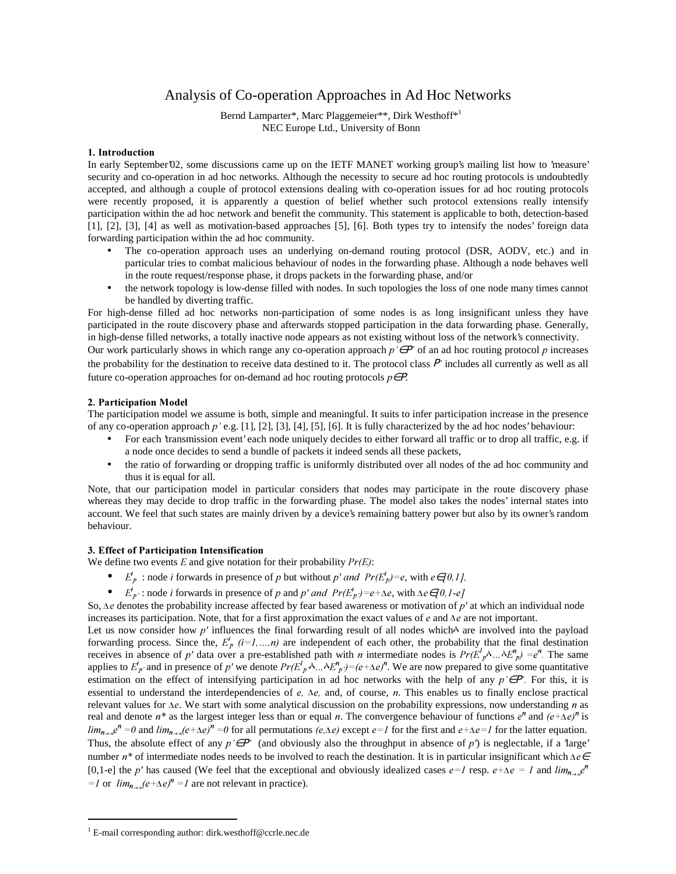## Analysis of Co-operation Approaches in Ad Hoc Networks

Bernd Lamparter\*, Marc Plaggemeier\*\*, Dirk Westhoff\*<sup>1</sup> NEC Europe Ltd., University of Bonn

### 1. Introduction

In early September'02, some discussions came up on the IETF MANET working group's mailing list how to 'measure' security and co-operation in ad hoc networks. Although the necessity to secure ad hoc routing protocols is undoubtedly accepted, and although a couple of protocol extensions dealing with co-operation issues for ad hoc routing protocols were recently proposed, it is apparently a question of belief whether such protocol extensions really intensify participation within the ad hoc network and benefit the community. This statement is applicable to both, detection-based [1], [2], [3], [4] as well as motivation-based approaches [5], [6]. Both types try to intensify the nodes' foreign data forwarding participation within the ad hoc community.

- The co-operation approach uses an underlying on-demand routing protocol (DSR, AODV, etc.) and in particular tries to combat malicious behaviour of nodes in the forwarding phase. Although a node behaves well in the route request/response phase, it drops packets in the forwarding phase, and/or
- the network topology is low-dense filled with nodes. In such topologies the loss of one node many times cannot be handled by diverting traffic.

For high-dense filled ad hoc networks non-participation of some nodes is as long insignificant unless they have participated in the route discovery phase and afterwards stopped participation in the data forwarding phase. Generally, in high-dense filled networks, a totally inactive node appears as not existing without loss of the network's connectivity.

Our work particularly shows in which range any co-operation approach  $p \in P'$  of an ad hoc routing protocol p increases the probability for the destination to receive data destined to it. The protocol class  $P'$  includes all currently as well as all future co-operation approaches for on-demand ad hoc routing protocols  $p \in P$ .

## 2. Participation Model

The participation model we assume is both, simple and meaningful. It suits to infer participation increase in the presence of any co-operation approach  $p'$  e.g. [1], [2], [3], [4], [5], [6]. It is fully characterized by the ad hoc nodes' behaviour:

- For each 'transmission event'each node uniquely decides to either forward all traffic or to drop all traffic, e.g. if a node once decides to send a bundle of packets it indeed sends all these packets,
- the ratio of forwarding or dropping traffic is uniformly distributed over all nodes of the ad hoc community and thus it is equal for all.

Note, that our participation model in particular considers that nodes may participate in the route discovery phase whereas they may decide to drop traffic in the forwarding phase. The model also takes the nodes' internal states into account. We feel that such states are mainly driven by a device's remaining battery power but also by its owner's random behaviour.

## 3. Effect of Participation Intensification

We define two events  $E$  and give notation for their probability  $Pr(E)$ :

- $E_p^i$ : node *i* forwards in presence of p but without p' and  $Pr(E_p^i) = e$ , with  $e \in [0,1]$ ,
- $E_p^i$ : node *i* forwards in presence of p and p' and  $Pr(E_p^i) = e + \Delta e$ , with  $\Delta e \in [0, 1-e]$

So,  $\Delta e$  denotes the probability increase affected by fear based awareness or motivation of p' at which an individual node increases its participation. Note, that for a first approximation the exact values of  $e$  and  $\Delta e$  are not important.

Let us now consider how  $p'$  influences the final forwarding result of all nodes which are involved into the payload forwarding process. Since the,  $E_p^{\dagger}$  (i=1,...,n) are independent of each other, the probability that the final destination receives in absence of p' data over a pre-established path with *n* intermediate nodes is  $Pr(E_p^l \wedge ... \wedge E_p^n) = e^n$ . The same applies to  $E_p$  and in presence of p' we denote  $Pr(E_p^1 \wedge ... \wedge E_p^n) = (e + \Delta e)^n$ . We are now prepared to give some quantitative estimation on the effect of intensifying participation in ad hoc networks with the help of any  $p \in P'$ . For this, it is essential to understand the interdependencies of  $e$ ,  $\Delta e$ , and, of course,  $n$ . This enables us to finally enclose practical relevant values for  $\Delta e$ . We start with some analytical discussion on the probability expressions, now understanding *n* as real and denote  $n^*$  as the largest integer less than or equal n. The convergence behaviour of functions  $e^n$  and  $(e+\Delta e)^n$  is  $\lim_{n\to\infty}e^n=0$  and  $\lim_{n\to\infty}(e+\Delta e)^n=0$  for all permutations  $(e,\Delta e)$  except  $e=1$  for the first and  $e+\Delta e=1$  for the latter equation. Thus, the absolute effect of any  $p \in P'$  (and obviously also the throughput in absence of  $p'$ ) is neglectable, if a 'large' number  $n^*$  of intermediate nodes needs to be involved to reach the destination. It is in particular insignificant which  $\Delta e \epsilon$ [0,1-e] the p' has caused (We feel that the exceptional and obviously idealized cases  $e=1$  resp.  $e+\Delta e=1$  and  $\lim_{n\to\infty}e^n$  $=$  l or  $\lim_{n\to\infty} (e + \Delta e)^n = 1$  are not relevant in practice).

 $\overline{a}$ 

<sup>&</sup>lt;sup>1</sup> E-mail corresponding author: dirk.westhoff@ccrle.nec.de